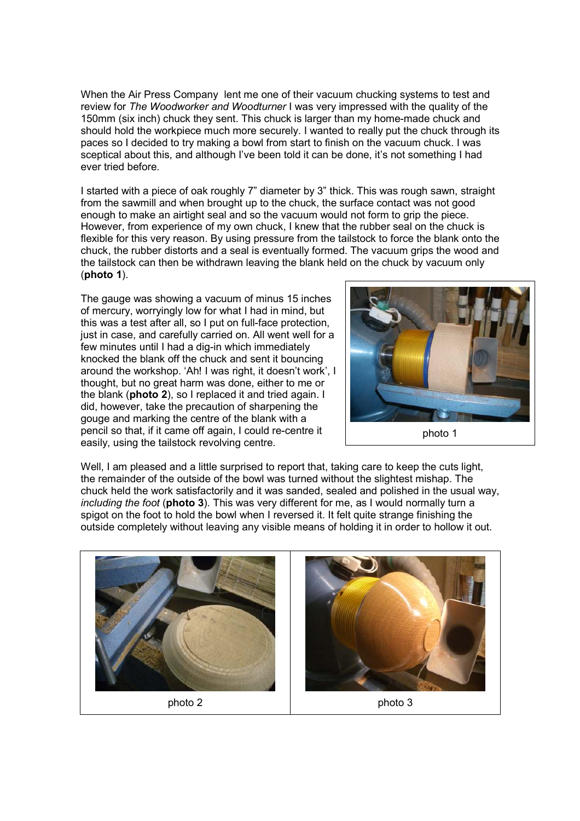When the Air Press Company lent me one of their vacuum chucking systems to test and review for The Woodworker and Woodturner I was very impressed with the quality of the 150mm (six inch) chuck they sent. This chuck is larger than my home-made chuck and should hold the workpiece much more securely. I wanted to really put the chuck through its paces so I decided to try making a bowl from start to finish on the vacuum chuck. I was sceptical about this, and although I've been told it can be done, it's not something I had ever tried before.

I started with a piece of oak roughly 7" diameter by 3" thick. This was rough sawn, straight from the sawmill and when brought up to the chuck, the surface contact was not good enough to make an airtight seal and so the vacuum would not form to grip the piece. However, from experience of my own chuck, I knew that the rubber seal on the chuck is flexible for this very reason. By using pressure from the tailstock to force the blank onto the chuck, the rubber distorts and a seal is eventually formed. The vacuum grips the wood and the tailstock can then be withdrawn leaving the blank held on the chuck by vacuum only (photo 1).

The gauge was showing a vacuum of minus 15 inches of mercury, worryingly low for what I had in mind, but this was a test after all, so I put on full-face protection, just in case, and carefully carried on. All went well for a few minutes until I had a dig-in which immediately knocked the blank off the chuck and sent it bouncing around the workshop. 'Ah! I was right, it doesn't work', I thought, but no great harm was done, either to me or the blank (photo 2), so I replaced it and tried again. I did, however, take the precaution of sharpening the gouge and marking the centre of the blank with a pencil so that, if it came off again, I could re-centre it easily, using the tailstock revolving centre.



Well, I am pleased and a little surprised to report that, taking care to keep the cuts light, the remainder of the outside of the bowl was turned without the slightest mishap. The chuck held the work satisfactorily and it was sanded, sealed and polished in the usual way, including the foot (photo 3). This was very different for me, as I would normally turn a spigot on the foot to hold the bowl when I reversed it. It felt quite strange finishing the outside completely without leaving any visible means of holding it in order to hollow it out.

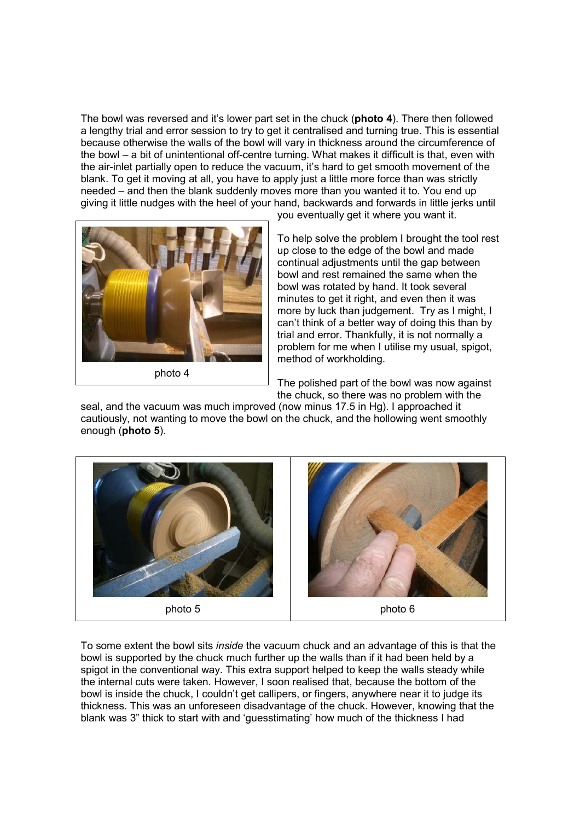The bowl was reversed and it's lower part set in the chuck (photo 4). There then followed a lengthy trial and error session to try to get it centralised and turning true. This is essential because otherwise the walls of the bowl will vary in thickness around the circumference of the bowl – a bit of unintentional off-centre turning. What makes it difficult is that, even with the air-inlet partially open to reduce the vacuum, it's hard to get smooth movement of the blank. To get it moving at all, you have to apply just a little more force than was strictly needed – and then the blank suddenly moves more than you wanted it to. You end up giving it little nudges with the heel of your hand, backwards and forwards in little jerks until



photo 4

you eventually get it where you want it.

To help solve the problem I brought the tool rest up close to the edge of the bowl and made continual adjustments until the gap between bowl and rest remained the same when the bowl was rotated by hand. It took several minutes to get it right, and even then it was more by luck than judgement. Try as I might, I can't think of a better way of doing this than by trial and error. Thankfully, it is not normally a problem for me when I utilise my usual, spigot, method of workholding.

The polished part of the bowl was now against the chuck, so there was no problem with the

seal, and the vacuum was much improved (now minus 17.5 in Hg). I approached it cautiously, not wanting to move the bowl on the chuck, and the hollowing went smoothly enough (photo 5).



To some extent the bowl sits inside the vacuum chuck and an advantage of this is that the bowl is supported by the chuck much further up the walls than if it had been held by a spigot in the conventional way. This extra support helped to keep the walls steady while the internal cuts were taken. However, I soon realised that, because the bottom of the bowl is inside the chuck, I couldn't get callipers, or fingers, anywhere near it to judge its thickness. This was an unforeseen disadvantage of the chuck. However, knowing that the blank was 3" thick to start with and 'guesstimating' how much of the thickness I had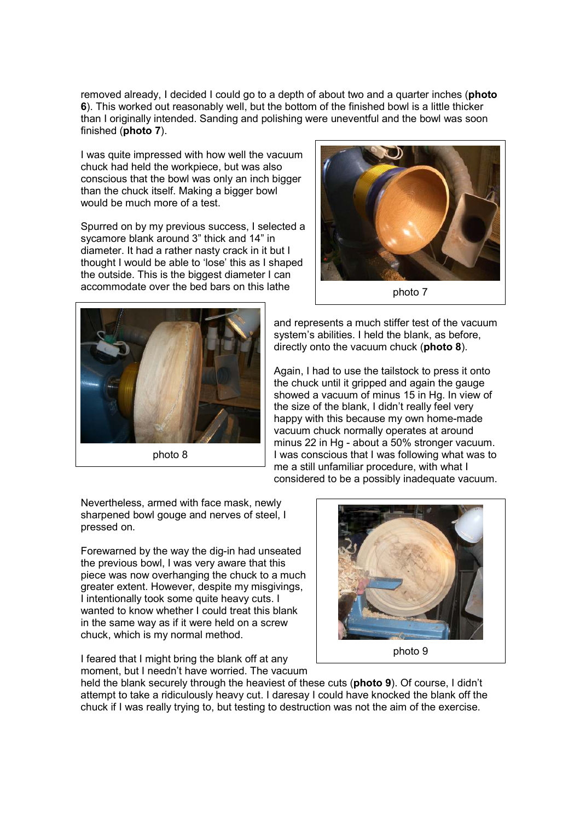removed already. I decided I could go to a depth of about two and a quarter inches (**photo** 6). This worked out reasonably well, but the bottom of the finished bowl is a little thicker than I originally intended. Sanding and polishing were uneventful and the bowl was soon finished (photo 7).

I was quite impressed with how well the vacuum chuck had held the workpiece, but was also conscious that the bowl was only an inch bigger than the chuck itself. Making a bigger bowl would be much more of a test.

Spurred on by my previous success, I selected a sycamore blank around 3" thick and 14" in diameter. It had a rather nasty crack in it but I thought I would be able to 'lose' this as I shaped the outside. This is the biggest diameter I can accommodate over the bed bars on this lathe





and represents a much stiffer test of the vacuum system's abilities. I held the blank, as before, directly onto the vacuum chuck (photo 8).

Again, I had to use the tailstock to press it onto the chuck until it gripped and again the gauge showed a vacuum of minus 15 in Hg. In view of the size of the blank, I didn't really feel very happy with this because my own home-made vacuum chuck normally operates at around minus 22 in Hg - about a 50% stronger vacuum. I was conscious that I was following what was to me a still unfamiliar procedure, with what I considered to be a possibly inadequate vacuum.

Nevertheless, armed with face mask, newly sharpened bowl gouge and nerves of steel. I pressed on.

Forewarned by the way the dig-in had unseated the previous bowl, I was very aware that this piece was now overhanging the chuck to a much greater extent. However, despite my misgivings, I intentionally took some quite heavy cuts. I wanted to know whether I could treat this blank in the same way as if it were held on a screw chuck, which is my normal method.

I feared that I might bring the blank off at any moment, but I needn't have worried. The vacuum



held the blank securely through the heaviest of these cuts (photo 9). Of course, I didn't attempt to take a ridiculously heavy cut. I daresay I could have knocked the blank off the chuck if I was really trying to, but testing to destruction was not the aim of the exercise.